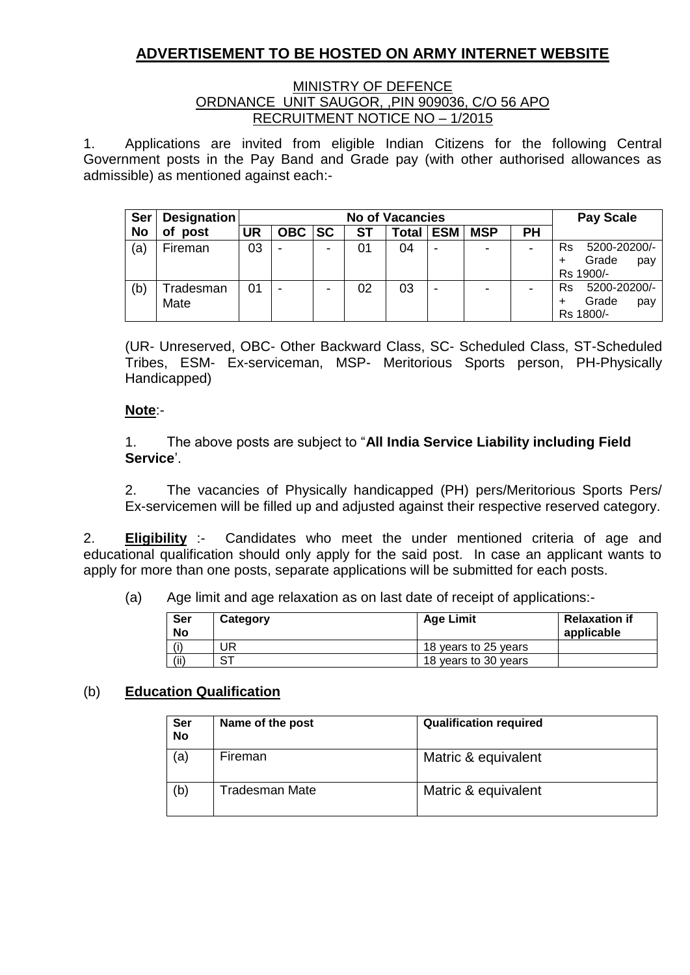# **ADVERTISEMENT TO BE HOSTED ON ARMY INTERNET WEBSITE**

### MINISTRY OF DEFENCE ORDNANCE UNIT SAUGOR, ,PIN 909036, C/O 56 APO RECRUITMENT NOTICE NO – 1/2015

1. Applications are invited from eligible Indian Citizens for the following Central Government posts in the Pay Band and Grade pay (with other authorised allowances as admissible) as mentioned against each:-

| <b>Ser</b> | Designation       |    | <b>No of Vacancies</b> |           |    |              |            |            | <b>Pay Scale</b>         |                                                 |  |
|------------|-------------------|----|------------------------|-----------|----|--------------|------------|------------|--------------------------|-------------------------------------------------|--|
| No         | оf<br>post        | UR | <b>OBC</b>             | <b>SC</b> | ST | <b>Total</b> | <b>ESM</b> | <b>MSP</b> | <b>PH</b>                |                                                 |  |
| (a)        | Fireman           | 03 | ۰                      | -         | 01 | 04           | -          | ۰          | $\overline{\phantom{0}}$ | 5200-20200/-<br>Rs<br>Grade<br>pay<br>Rs 1900/- |  |
| (b)        | Tradesman<br>Mate | 01 |                        |           | 02 | 03           |            |            |                          | 5200-20200/-<br>Rs<br>Grade<br>pay<br>Rs 1800/- |  |

(UR- Unreserved, OBC- Other Backward Class, SC- Scheduled Class, ST-Scheduled Tribes, ESM- Ex-serviceman, MSP- Meritorious Sports person, PH-Physically Handicapped)

## **Note**:-

1. The above posts are subject to "**All India Service Liability including Field Service**'.

2. The vacancies of Physically handicapped (PH) pers/Meritorious Sports Pers/ Ex-servicemen will be filled up and adjusted against their respective reserved category.

2. **Eligibility** :- Candidates who meet the under mentioned criteria of age and educational qualification should only apply for the said post. In case an applicant wants to apply for more than one posts, separate applications will be submitted for each posts.

(a) Age limit and age relaxation as on last date of receipt of applications:-

| Ser<br><b>No</b> | Category | <b>Age Limit</b>     | <b>Relaxation if</b><br>applicable |
|------------------|----------|----------------------|------------------------------------|
| (i)              | JR       | 18 years to 25 years |                                    |
| (ii)             | rт       | 18 years to 30 years |                                    |

### (b) **Education Qualification**

| <b>Ser</b><br><b>No</b> | Name of the post | <b>Qualification required</b> |
|-------------------------|------------------|-------------------------------|
| (a)                     | Fireman          | Matric & equivalent           |
| (b)                     | Tradesman Mate   | Matric & equivalent           |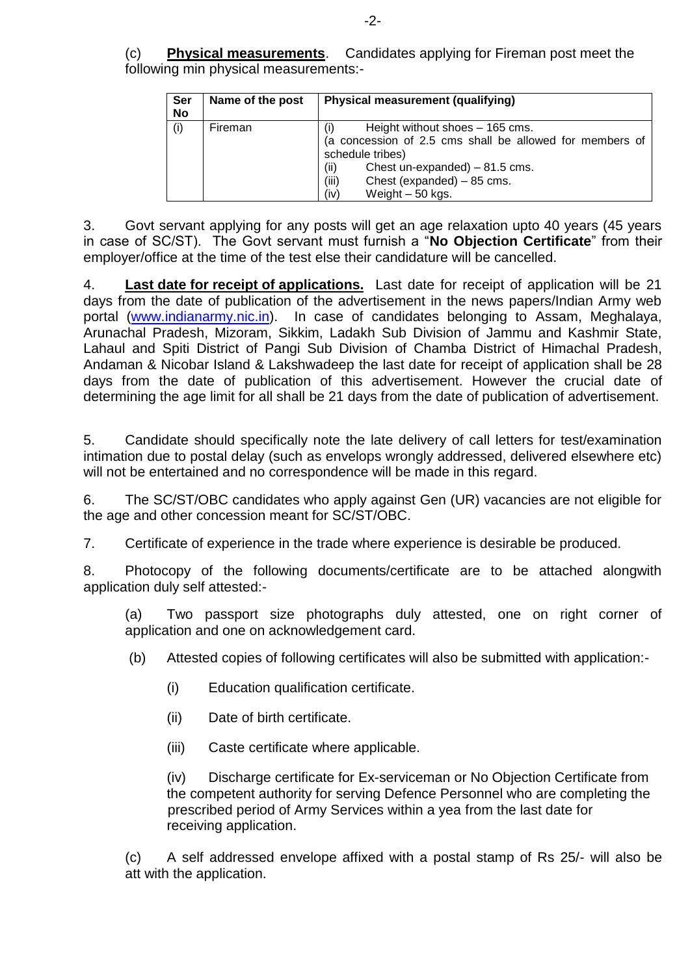| Ser<br><b>No</b> | Name of the post | <b>Physical measurement (qualifying)</b>                                                                                                                                                                                                           |
|------------------|------------------|----------------------------------------------------------------------------------------------------------------------------------------------------------------------------------------------------------------------------------------------------|
| (i)              | Fireman          | Height without shoes - 165 cms.<br>$\left( 1\right)$<br>(a concession of 2.5 cms shall be allowed for members of<br>schedule tribes)<br>(ii)<br>Chest un-expanded) $-81.5$ cms.<br>(iii)<br>Chest (expanded) – 85 cms.<br>(iv)<br>Weight - 50 kgs. |

3. Govt servant applying for any posts will get an age relaxation upto 40 years (45 years in case of SC/ST). The Govt servant must furnish a "**No Objection Certificate**" from their employer/office at the time of the test else their candidature will be cancelled.

4. **Last date for receipt of applications.** Last date for receipt of application will be 21 days from the date of publication of the advertisement in the news papers/Indian Army web portal [\(www.indianarmy.nic.in\)](http://www.indianarmy.nic.in/). In case of candidates belonging to Assam, Meghalaya, Arunachal Pradesh, Mizoram, Sikkim, Ladakh Sub Division of Jammu and Kashmir State, Lahaul and Spiti District of Pangi Sub Division of Chamba District of Himachal Pradesh, Andaman & Nicobar Island & Lakshwadeep the last date for receipt of application shall be 28 days from the date of publication of this advertisement. However the crucial date of determining the age limit for all shall be 21 days from the date of publication of advertisement.

5. Candidate should specifically note the late delivery of call letters for test/examination intimation due to postal delay (such as envelops wrongly addressed, delivered elsewhere etc) will not be entertained and no correspondence will be made in this regard.

6. The SC/ST/OBC candidates who apply against Gen (UR) vacancies are not eligible for the age and other concession meant for SC/ST/OBC.

7. Certificate of experience in the trade where experience is desirable be produced.

8. Photocopy of the following documents/certificate are to be attached alongwith application duly self attested:-

(a) Two passport size photographs duly attested, one on right corner of application and one on acknowledgement card.

(b) Attested copies of following certificates will also be submitted with application:-

- (i) Education qualification certificate.
- (ii) Date of birth certificate.
- (iii) Caste certificate where applicable.

(iv) Discharge certificate for Ex-serviceman or No Objection Certificate from the competent authority for serving Defence Personnel who are completing the prescribed period of Army Services within a yea from the last date for receiving application.

(c) A self addressed envelope affixed with a postal stamp of Rs 25/- will also be att with the application.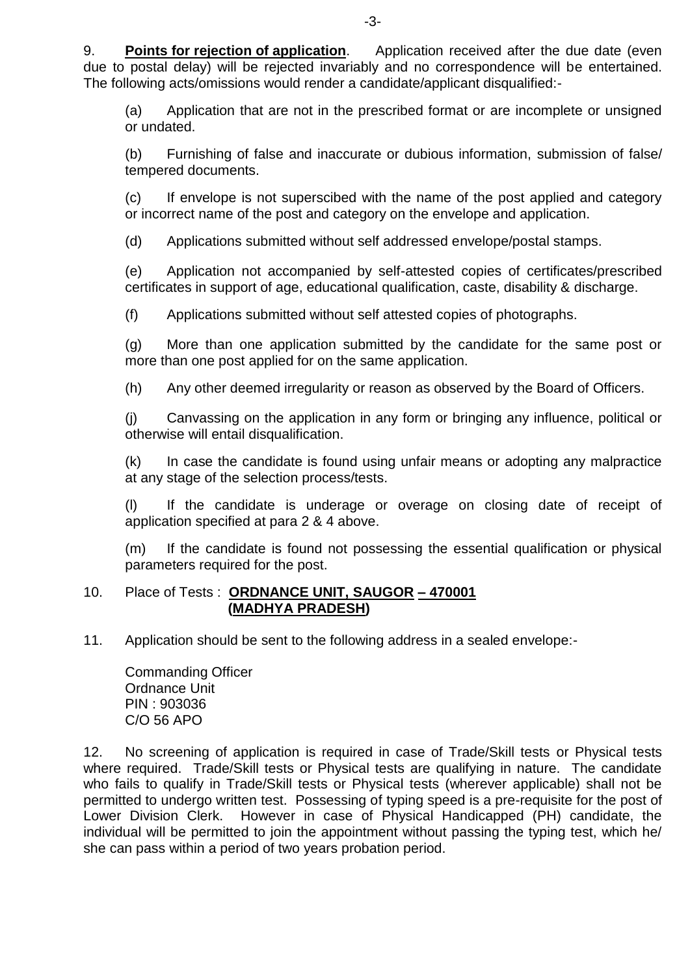9. **Points for rejection of application**. Application received after the due date (even due to postal delay) will be rejected invariably and no correspondence will be entertained. The following acts/omissions would render a candidate/applicant disqualified:-

(a) Application that are not in the prescribed format or are incomplete or unsigned or undated.

(b) Furnishing of false and inaccurate or dubious information, submission of false/ tempered documents.

(c) If envelope is not superscibed with the name of the post applied and category or incorrect name of the post and category on the envelope and application.

(d) Applications submitted without self addressed envelope/postal stamps.

(e) Application not accompanied by self-attested copies of certificates/prescribed certificates in support of age, educational qualification, caste, disability & discharge.

(f) Applications submitted without self attested copies of photographs.

(g) More than one application submitted by the candidate for the same post or more than one post applied for on the same application.

(h) Any other deemed irregularity or reason as observed by the Board of Officers.

(j) Canvassing on the application in any form or bringing any influence, political or otherwise will entail disqualification.

(k) In case the candidate is found using unfair means or adopting any malpractice at any stage of the selection process/tests.

(l) If the candidate is underage or overage on closing date of receipt of application specified at para 2 & 4 above.

(m) If the candidate is found not possessing the essential qualification or physical parameters required for the post.

### 10. Place of Tests : **ORDNANCE UNIT, SAUGOR – 470001 (MADHYA PRADESH)**

11. Application should be sent to the following address in a sealed envelope:-

Commanding Officer Ordnance Unit PIN : 903036 C/O 56 APO

12. No screening of application is required in case of Trade/Skill tests or Physical tests where required. Trade/Skill tests or Physical tests are qualifying in nature. The candidate who fails to qualify in Trade/Skill tests or Physical tests (wherever applicable) shall not be permitted to undergo written test. Possessing of typing speed is a pre-requisite for the post of Lower Division Clerk. However in case of Physical Handicapped (PH) candidate, the individual will be permitted to join the appointment without passing the typing test, which he/ she can pass within a period of two years probation period.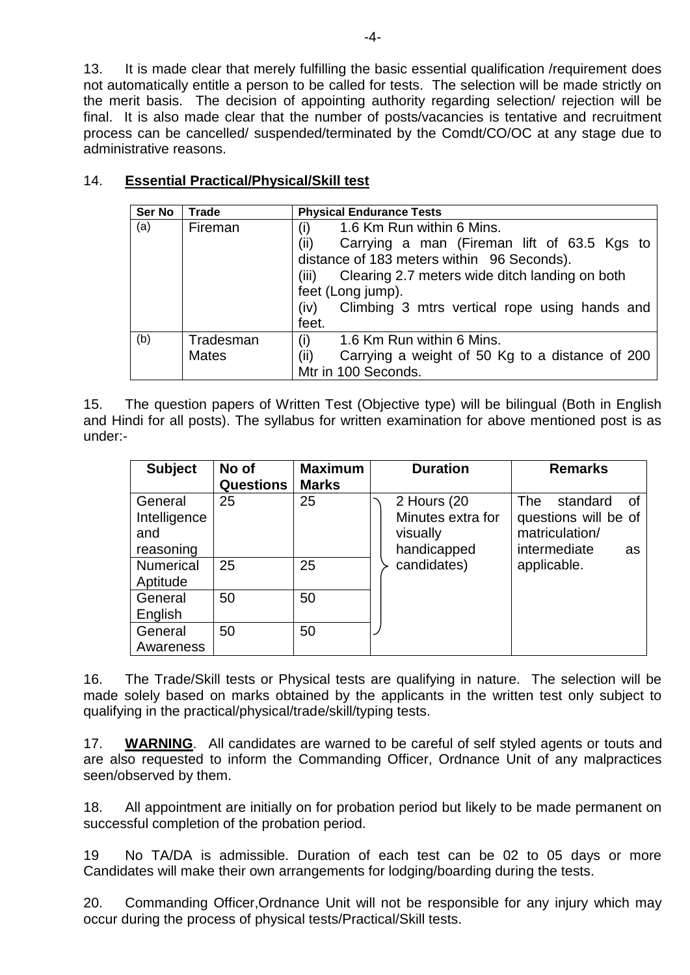13. It is made clear that merely fulfilling the basic essential qualification /requirement does not automatically entitle a person to be called for tests. The selection will be made strictly on the merit basis. The decision of appointing authority regarding selection/ rejection will be final. It is also made clear that the number of posts/vacancies is tentative and recruitment process can be cancelled/ suspended/terminated by the Comdt/CO/OC at any stage due to administrative reasons.

| Ser No | <b>Trade</b> | <b>Physical Endurance Tests</b>                         |  |  |  |
|--------|--------------|---------------------------------------------------------|--|--|--|
| (a)    | Fireman      | 1.6 Km Run within 6 Mins.<br>(i)                        |  |  |  |
|        |              | (ii)<br>Carrying a man (Fireman lift of 63.5 Kgs to     |  |  |  |
|        |              | distance of 183 meters within 96 Seconds).              |  |  |  |
|        |              | Clearing 2.7 meters wide ditch landing on both<br>TIL)  |  |  |  |
|        |              | feet (Long jump).                                       |  |  |  |
|        |              | Climbing 3 mtrs vertical rope using hands and<br>(iv)   |  |  |  |
|        |              | feet.                                                   |  |  |  |
| (b)    | Tradesman    | (i)<br>1.6 Km Run within 6 Mins.                        |  |  |  |
|        | <b>Mates</b> | (ii)<br>Carrying a weight of 50 Kg to a distance of 200 |  |  |  |
|        |              | Mtr in 100 Seconds.                                     |  |  |  |

## 14. **Essential Practical/Physical/Skill test**

15. The question papers of Written Test (Objective type) will be bilingual (Both in English and Hindi for all posts). The syllabus for written examination for above mentioned post is as under:-

| <b>Subject</b>   | No of            | <b>Maximum</b> | <b>Duration</b>   | <b>Remarks</b>               |
|------------------|------------------|----------------|-------------------|------------------------------|
|                  | <b>Questions</b> | <b>Marks</b>   |                   |                              |
| General          | 25               | 25             | 2 Hours (20       | standard<br><b>The</b><br>Ωf |
| Intelligence     |                  |                | Minutes extra for | questions will be of         |
| and              |                  |                | visually          | matriculation/               |
| reasoning        |                  |                | handicapped       | intermediate<br>as           |
| <b>Numerical</b> | 25               | 25             | candidates)       | applicable.                  |
| Aptitude         |                  |                |                   |                              |
| General          | 50               | 50             |                   |                              |
| English          |                  |                |                   |                              |
| General          | 50               | 50             |                   |                              |
| Awareness        |                  |                |                   |                              |

16. The Trade/Skill tests or Physical tests are qualifying in nature. The selection will be made solely based on marks obtained by the applicants in the written test only subject to qualifying in the practical/physical/trade/skill/typing tests.

17. **WARNING**. All candidates are warned to be careful of self styled agents or touts and are also requested to inform the Commanding Officer, Ordnance Unit of any malpractices seen/observed by them.

18. All appointment are initially on for probation period but likely to be made permanent on successful completion of the probation period.

19 No TA/DA is admissible. Duration of each test can be 02 to 05 days or more Candidates will make their own arrangements for lodging/boarding during the tests.

20. Commanding Officer,Ordnance Unit will not be responsible for any injury which may occur during the process of physical tests/Practical/Skill tests.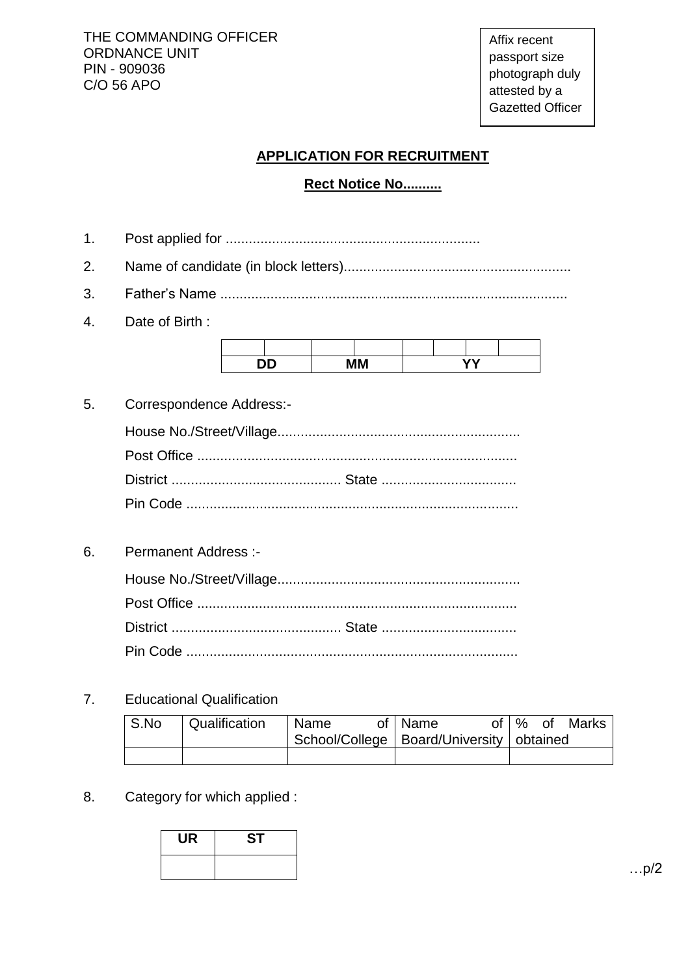THE COMMANDING OFFICER ORDNANCE UNIT PIN - 909036 C/O 56 APO

Affix recent passport size photograph duly attested by a Gazetted Officer

## **APPLICATION FOR RECRUITMENT**

# **Rect Notice No..........**

| 1.           |                              |  |  |  |  |  |  |
|--------------|------------------------------|--|--|--|--|--|--|
| 2.           |                              |  |  |  |  |  |  |
| 3.           |                              |  |  |  |  |  |  |
| $\mathbf{4}$ | Date of Birth:               |  |  |  |  |  |  |
|              | <b>YY</b><br><b>DD</b><br>MМ |  |  |  |  |  |  |
| 5.           | Correspondence Address:-     |  |  |  |  |  |  |
|              |                              |  |  |  |  |  |  |
| 6.           | <b>Permanent Address:-</b>   |  |  |  |  |  |  |
|              |                              |  |  |  |  |  |  |
|              |                              |  |  |  |  |  |  |

District ............................................ State ................................... Pin Code ......................................................................................

7. Educational Qualification

| S.No | <sup>1</sup> Qualification | Name | of   Name                                    |  | of   % of Marks |
|------|----------------------------|------|----------------------------------------------|--|-----------------|
|      |                            |      | School/College   Board/University   obtained |  |                 |
|      |                            |      |                                              |  |                 |

8. Category for which applied :



…p/2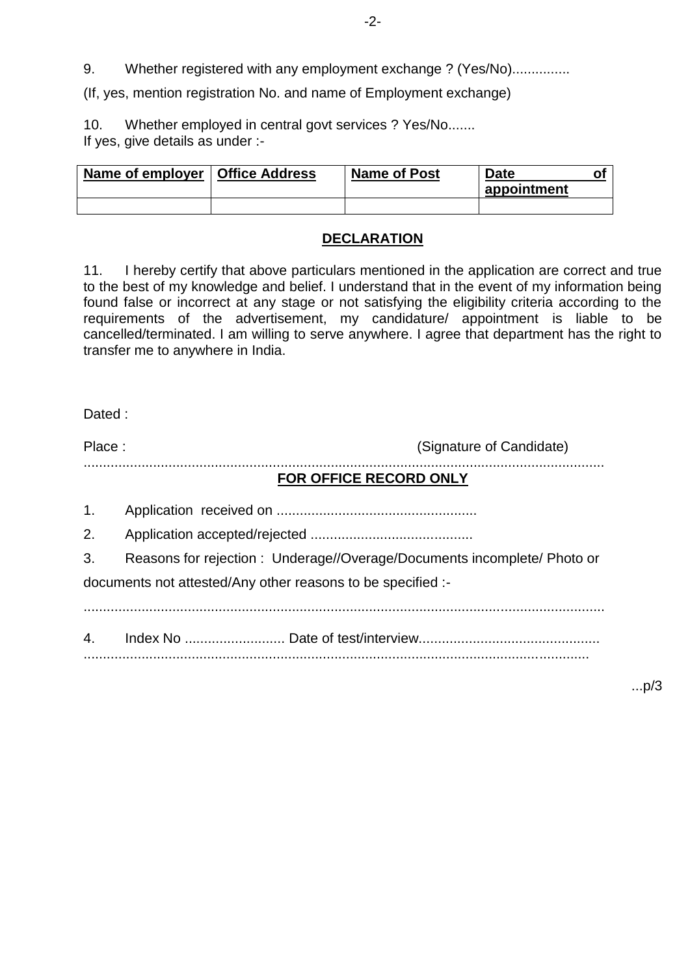9. Whether registered with any employment exchange ? (Yes/No)...............

(If, yes, mention registration No. and name of Employment exchange)

10. Whether employed in central govt services ? Yes/No....... If yes, give details as under :-

| Name of employer   Office Address | <b>Name of Post</b> | <b>Date</b> |  |  |
|-----------------------------------|---------------------|-------------|--|--|
|                                   |                     | appointment |  |  |
|                                   |                     |             |  |  |

### **DECLARATION**

11. I hereby certify that above particulars mentioned in the application are correct and true to the best of my knowledge and belief. I understand that in the event of my information being found false or incorrect at any stage or not satisfying the eligibility criteria according to the requirements of the advertisement, my candidature/ appointment is liable to be cancelled/terminated. I am willing to serve anywhere. I agree that department has the right to transfer me to anywhere in India.

Dated :

Place : (Signature of Candidate) .......................................................................................................................................

### **FOR OFFICE RECORD ONLY**

1. Application received on .................................................... 2. Application accepted/rejected ..........................................

3. Reasons for rejection : Underage//Overage/Documents incomplete/ Photo or documents not attested/Any other reasons to be specified :-

.......................................................................................................................................

4. Index No .......................... Date of test/interview............................................... ...................................................................................................................................